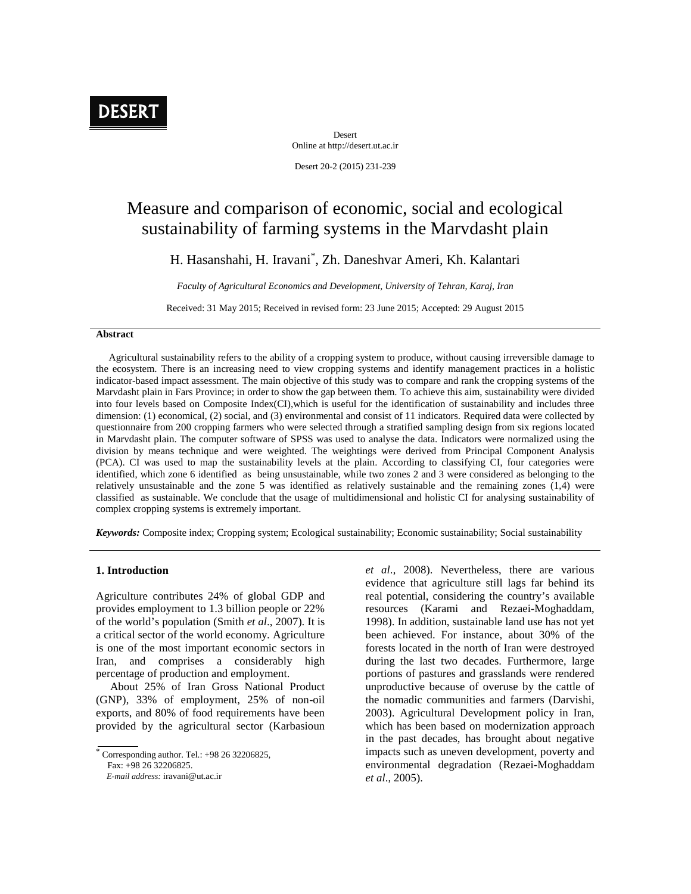

Desert Online at http://desert.ut.ac.ir

Desert 20-2 (2015) 231-239

# Measure and comparison of economic, social and ecological sustainability of farming systems in the Marvdasht plain

H. Hasanshahi, H. Iravani\* , Zh. Daneshvar Ameri, Kh. Kalantari

*Faculty of Agricultural Economics and Development, University of Tehran, Karaj, Iran*

Received: 31 May 2015; Received in revised form: 23 June 2015; Accepted: 29 August 2015

### **Abstract**

Agricultural sustainability refers to the ability of a cropping system to produce, without causing irreversible damage to the ecosystem. There is an increasing need to view cropping systems and identify management practices in a holistic indicator-based impact assessment. The main objective of this study was to compare and rank the cropping systems of the Marvdasht plain in Fars Province; in order to show the gap between them. To achieve this aim, sustainability were divided into four levels based on Composite Index(CI),which is useful for the identification of sustainability and includes three dimension: (1) economical, (2) social, and (3) environmental and consist of 11 indicators. Required data were collected by questionnaire from 200 cropping farmers who were selected through a stratified sampling design from six regions located in Marvdasht plain. The computer software of SPSS was used to analyse the data. Indicators were normalized using the division by means technique and were weighted. The weightings were derived from Principal Component Analysis (PCA). CI was used to map the sustainability levels at the plain. According to classifying CI, four categories were identified, which zone 6 identified as being unsustainable, while two zones 2 and 3 were considered as belonging to the relatively unsustainable and the zone 5 was identified as relatively sustainable and the remaining zones (1,4) were classified as sustainable. We conclude that the usage of multidimensional and holistic CI for analysing sustainability of complex cropping systems is extremely important.

*Keywords:* Composite index; Cropping system; Ecological sustainability; Economic sustainability; Social sustainability

# **1. Introduction**

Agriculture contributes 24% of global GDP and provides employment to 1.3 billion people or 22% of the world's population (Smith *et al*., 2007). It is a critical sector of the world economy. Agriculture is one of the most important economic sectors in Iran, and comprises a considerably high percentage of production and employment.

About 25% of Iran Gross National Product (GNP), 33% of employment, 25% of non-oil exports, and 80% of food requirements have been provided by the agricultural sector (Karbasioun

Fax: +98 26 32206825.

*et al*., 2008). Nevertheless, there are various evidence that agriculture still lags far behind its real potential, considering the country's available resources (Karami and Rezaei-Moghaddam, 1998). In addition, sustainable land use has not yet been achieved. For instance, about 30% of the forests located in the north of Iran were destroyed during the last two decades. Furthermore, large portions of pastures and grasslands were rendered unproductive because of overuse by the cattle of the nomadic communities and farmers (Darvishi, 2003). Agricultural Development policy in Iran, which has been based on modernization approach in the past decades, has brought about negative impacts such as uneven development, poverty and environmental degradation (Rezaei-Moghaddam *et al*., 2005).

 $^*$  Corresponding author. Tel.:  $+98$  26 32206825,

*E-mail address:* iravani@ut.ac.ir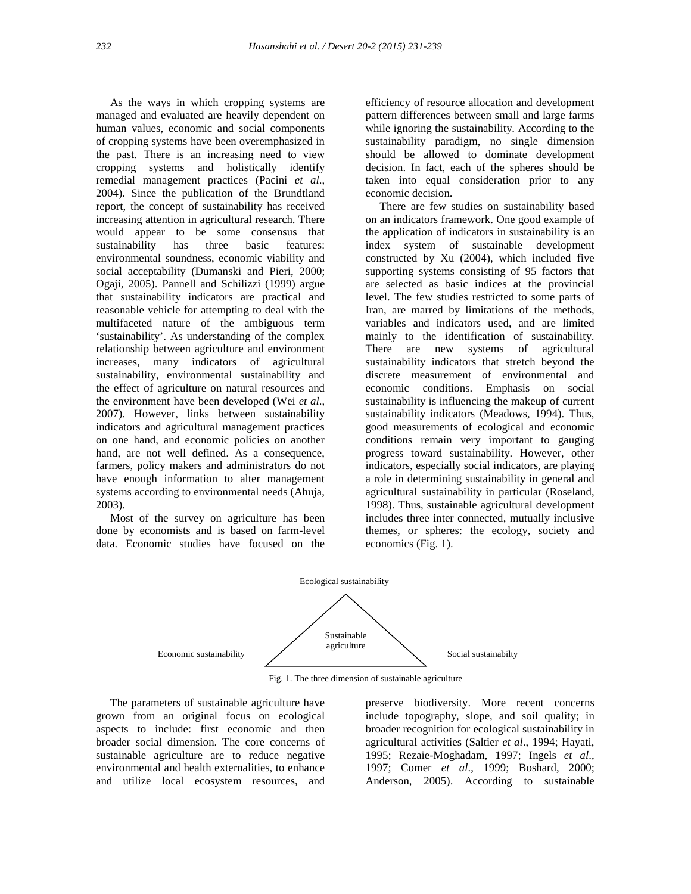As the ways in which cropping systems are managed and evaluated are heavily dependent on human values, economic and social components of cropping systems have been overemphasized in the past. There is an increasing need to view cropping systems and holistically identify remedial management practices (Pacini *et al*., 2004). Since the publication of the Brundtland report, the concept of sustainability has received increasing attention in agricultural research. There would appear to be some consensus that sustainability has three basic features: environmental soundness, economic viability and social acceptability (Dumanski and Pieri, 2000; Ogaji, 2005). Pannell and Schilizzi (1999) argue that sustainability indicators are practical and reasonable vehicle for attempting to deal with the multifaceted nature of the ambiguous term 'sustainability'. As understanding of the complex relationship between agriculture and environment increases, many indicators of agricultural sustainability, environmental sustainability and the effect of agriculture on natural resources and the environment have been developed (Wei *et al*., 2007). However, links between sustainability indicators and agricultural management practices on one hand, and economic policies on another hand, are not well defined. As a consequence, farmers, policy makers and administrators do not have enough information to alter management systems according to environmental needs (Ahuja, 2003).

Most of the survey on agriculture has been done by economists and is based on farm-level data. Economic studies have focused on the efficiency of resource allocation and development pattern differences between small and large farms while ignoring the sustainability. According to the sustainability paradigm, no single dimension should be allowed to dominate development decision. In fact, each of the spheres should be taken into equal consideration prior to any economic decision.

There are few studies on sustainability based on an indicators framework. One good example of the application of indicators in sustainability is an index system of sustainable development constructed by Xu (2004), which included five supporting systems consisting of 95 factors that are selected as basic indices at the provincial level. The few studies restricted to some parts of Iran, are marred by limitations of the methods, variables and indicators used, and are limited mainly to the identification of sustainability. There are new systems of agricultural sustainability indicators that stretch beyond the discrete measurement of environmental and Emphasis on social sustainability is influencing the makeup of current sustainability indicators (Meadows, 1994). Thus, good measurements of ecological and economic conditions remain very important to gauging progress toward sustainability. However, other indicators, especially social indicators, are playing a role in determining sustainability in general and agricultural sustainability in particular (Roseland, 1998). Thus, sustainable agricultural development includes three inter connected, mutually inclusive themes, or spheres: the ecology, society and economics (Fig. 1).



Fig. 1. The three dimension of sustainable agriculture

The parameters of sustainable agriculture have grown from an original focus on ecological aspects to include: first economic and then broader social dimension. The core concerns of sustainable agriculture are to reduce negative environmental and health externalities, to enhance and utilize local ecosystem resources, and preserve biodiversity. More recent concerns include topography, slope, and soil quality; in broader recognition for ecological sustainability in agricultural activities (Saltier *et al*., 1994; Hayati, 1995; Rezaie-Moghadam, 1997; Ingels *et al*., 1997; Comer *et al*., 1999; Boshard, 2000; Anderson, 2005). According to sustainable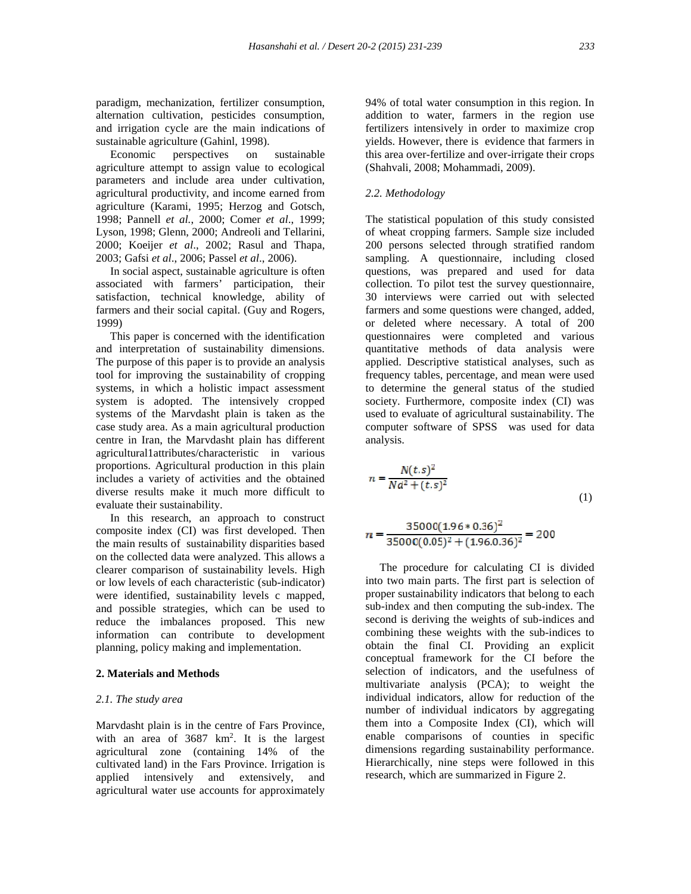paradigm, mechanization, fertilizer consumption, alternation cultivation, pesticides consumption, and irrigation cycle are the main indications of sustainable agriculture (Gahinl, 1998).

Economic perspectives on sustainable agriculture attempt to assign value to ecological parameters and include area under cultivation, agricultural productivity, and income earned from agriculture (Karami, 1995; Herzog and Gotsch, 1998; Pannell *et al.*, 2000; Comer *et al*., 1999; Lyson, 1998; Glenn, 2000; Andreoli and Tellarini, 2000; Koeijer *et al*., 2002; Rasul and Thapa, 2003; Gafsi *et al*., 2006; Passel *et al*., 2006).

In social aspect, sustainable agriculture is often associated with farmers' participation, their satisfaction, technical knowledge, ability of farmers and their social capital. (Guy and Rogers, 1999)

This paper is concerned with the identification and interpretation of sustainability dimensions. The purpose of this paper is to provide an analysis tool for improving the sustainability of cropping systems, in which a holistic impact assessment system is adopted. The intensively cropped systems of the Marvdasht plain is taken as the case study area. As a main agricultural production centre in Iran, the Marvdasht plain has different agricultural1attributes/characteristic in various proportions. Agricultural production in this plain includes a variety of activities and the obtained diverse results make it much more difficult to evaluate their sustainability.

In this research, an approach to construct composite index (CI) was first developed. Then the main results of sustainability disparities based on the collected data were analyzed. This allows a clearer comparison of sustainability levels. High or low levels of each characteristic (sub-indicator) were identified, sustainability levels c mapped, and possible strategies, which can be used to reduce the imbalances proposed. This new information can contribute to development planning, policy making and implementation.

#### **2. Materials and Methods**

#### *2.1. The study area*

Marvdasht plain is in the centre of Fars Province, with an area of 3687 km<sup>2</sup>. It is the largest agricultural zone (containing 14% of the cultivated land) in the Fars Province. Irrigation is applied intensively and extensively, and agricultural water use accounts for approximately

94% of total water consumption in this region. In addition to water, farmers in the region use fertilizers intensively in order to maximize crop yields. However, there is evidence that farmers in this area over-fertilize and over-irrigate their crops (Shahvali, 2008; Mohammadi, 2009).

## *2.2. Methodology*

The statistical population of this study consisted of wheat cropping farmers. Sample size included 200 persons selected through stratified random sampling. A questionnaire, including closed questions, was prepared and used for data collection. To pilot test the survey questionnaire, 30 interviews were carried out with selected farmers and some questions were changed, added, or deleted where necessary. A total of 200 questionnaires were completed and various quantitative methods of data analysis were applied. Descriptive statistical analyses, such as frequency tables, percentage, and mean were used to determine the general status of the studied society. Furthermore, composite index (CI) was used to evaluate of agricultural sustainability. The computer software of SPSS was used for data analysis.

$$
n = \frac{N(t,s)^2}{Nd^2 + (t,s)^2}
$$
 (1)

$$
n = \frac{35000(1.96 * 0.36)^2}{35000(0.05)^2 + (1.96.0.36)^2} = 200
$$

The procedure for calculating CI is divided into two main parts. The first part is selection of proper sustainability indicators that belong to each sub-index and then computing the sub-index. The second is deriving the weights of sub-indices and combining these weights with the sub-indices to obtain the final CI. Providing an explicit conceptual framework for the CI before the selection of indicators, and the usefulness of multivariate analysis (PCA); to weight the individual indicators, allow for reduction of the number of individual indicators by aggregating them into a Composite Index (CI), which will enable comparisons of counties in specific dimensions regarding sustainability performance. Hierarchically, nine steps were followed in this research, which are summarized in Figure 2.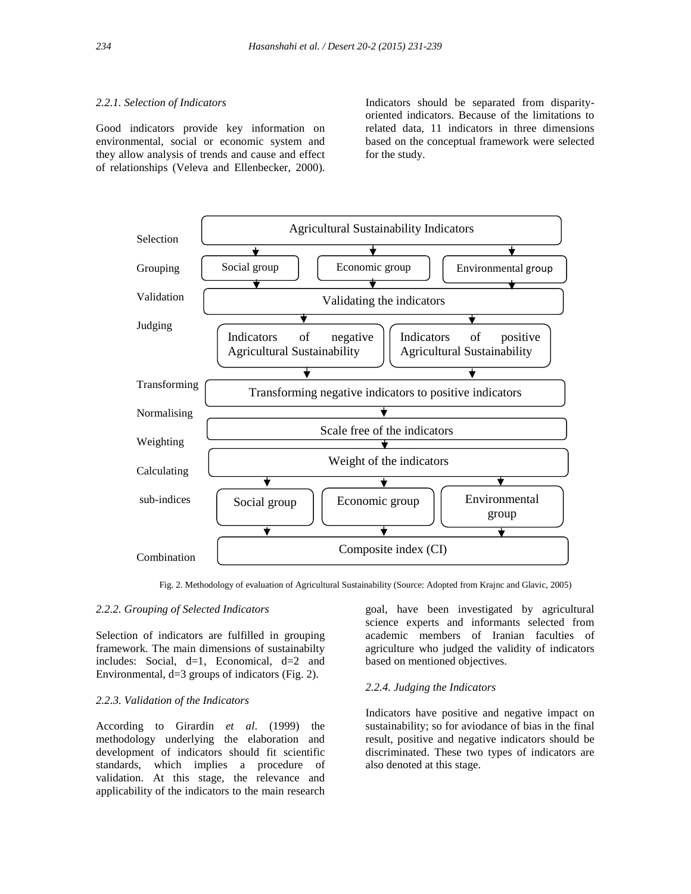## *2.2.1. Selection of Indicators*

Good indicators provide key information on environmental, social or economic system and they allow analysis of trends and cause and effect of relationships (Veleva and Ellenbecker, 2000). Indicators should be separated from disparity oriented indicators. Because of the limitations to related data, 11 indicators in three dimensions based on the conceptual framework were selected for the study.



Fig. 2. Methodology of evaluation of Agricultural Sustainability (Source: Adopted from Krajnc and Glavic, 2005) I

## *2.2.2. Grouping of Selected Indicators*

Selection of indicators are fulfilled in grouping framework. The main dimensions of sustainabilty includes: Social,  $d=1$ , Economical,  $d=2$  and Environmental, d=3 groups of indicators (Fig. 2).

# *2.2.3. Validation of the Indicators*

According to Girardin *et al*. (1999) the methodology underlying the elaboration and development of indicators should fit scientific standards, which implies a procedure of validation. At this stage, the relevance and applicability of the indicators to the main research goal, have been investigated by agricultural science experts and informants selected from academic members of Iranian faculties of agriculture who judged the validity of indicators based on mentioned objectives.

#### *2.2.4. Judging the Indicators*

Indicators have positive and negative impact on sustainability; so for aviodance of bias in the final result, positive and negative indicators should be discriminated. These two types of indicators are also denoted at this stage.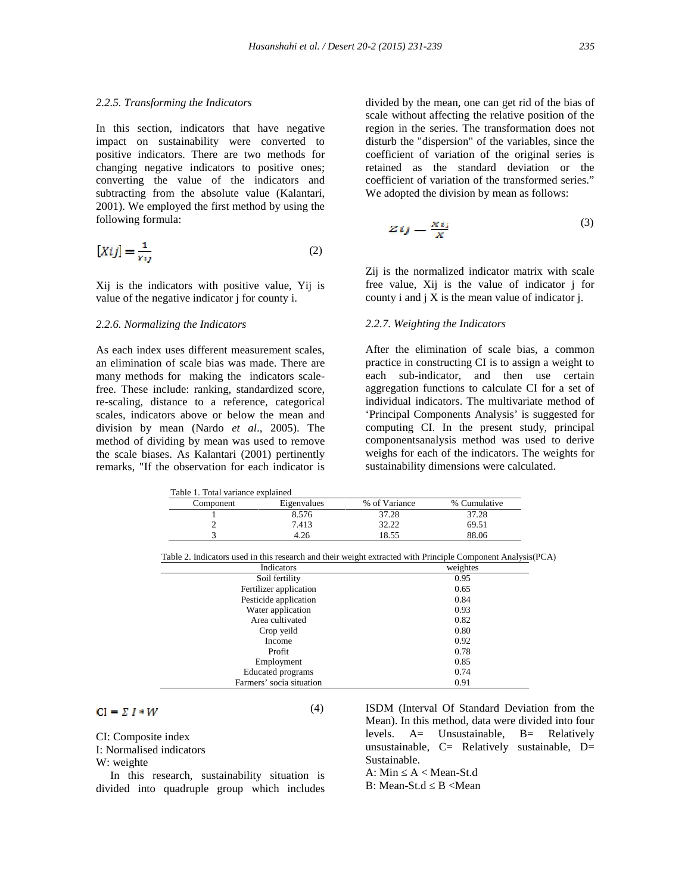#### *2.2.5. Transforming the Indicators*

In this section, indicators that have negative impact on sustainability were converted to positive indicators. There are two methods for changing negative indicators to positive ones; converting the value of the indicators and subtracting from the absolute value (Kalantari, 2001). We employed the first method by using the following formula:

$$
[Xij] = \frac{1}{Yij}
$$
 (2)

Xij is the indicators with positive value, Yij is value of the negative indicator j for county i.

#### *2.2.6. Normalizing the Indicators*

As each index uses different measurement scales, an elimination of scale bias was made. There are many methods for making the indicators scalefree. These include: ranking, standardized score, re-scaling, distance to a reference, categorical scales, indicators above or below the mean and division by mean (Nardo *et al*., 2005). The method of dividing by mean was used to remove the scale biases. As Kalantari (2001) pertinently remarks, "If the observation for each indicator is divided by the mean, one can get rid of the bias of scale without affecting the relative position of the region in the series. The transformation does not disturb the "dispersion" of the variables, since the coefficient of variation of the original series is retained as the standard deviation or the coefficient of variation of the transformed series." We adopted the division by mean as follows:

$$
Zij = \frac{Xij}{X} \tag{3}
$$

Zij is the normalized indicator matrix with scale free value, Xij is the value of indicator j for county i and  $\overline{\mathbf{i}}$  X is the mean value of indicator  $\overline{\mathbf{i}}$ .

### *2.2.7. Weighting the Indicators*

After the elimination of scale bias, a common practice in constructing CI is to assign a weight to each sub-indicator, and then use certain aggregation functions to calculate CI for a set of individual indicators. The multivariate method of 'Principal Components Analysis' is suggested for computing CI. In the present study, principal componentsanalysis method was used to derive weighs for each of the indicators. The weights for sustainability dimensions were calculated.

| Table 1. Total variance explained |             |               |              |
|-----------------------------------|-------------|---------------|--------------|
| Component                         | Eigenvalues | % of Variance | % Cumulative |
|                                   | 8.576       | 37.28         | 37.28        |
|                                   | 7.413       | 32.22         | 69.51        |
|                                   | 1.26        | 18.55         | 88.06        |

| Table 2. Indicators used in this research and their weight extracted with Principle Component Analysis (PCA) |  |  |
|--------------------------------------------------------------------------------------------------------------|--|--|
|                                                                                                              |  |  |

| Indicators               | weightes |
|--------------------------|----------|
| Soil fertility           | 0.95     |
| Fertilizer application   | 0.65     |
| Pesticide application    | 0.84     |
| Water application        | 0.93     |
| Area cultivated          | 0.82     |
| Crop yeild               | 0.80     |
| Income                   | 0.92     |
| Profit                   | 0.78     |
| Employment               | 0.85     |
| Educated programs        | 0.74     |
| Farmers' socia situation | 0.91     |

 $CI = \Sigma I * W$ 

(4)

CI: Composite index

I: Normalised indicators

W: weighte

In this research, sustainability situation is divided into quadruple group which includes ISDM (Interval Of Standard Deviation from the Mean). In this method, data were divided into four levels. A= Unsustainable, B= Relatively unsustainable,  $C=$  Relatively sustainable,  $D=$ Sustainable.

A: Min  $A <$  Mean-St.d B: Mean-St.d B <Mean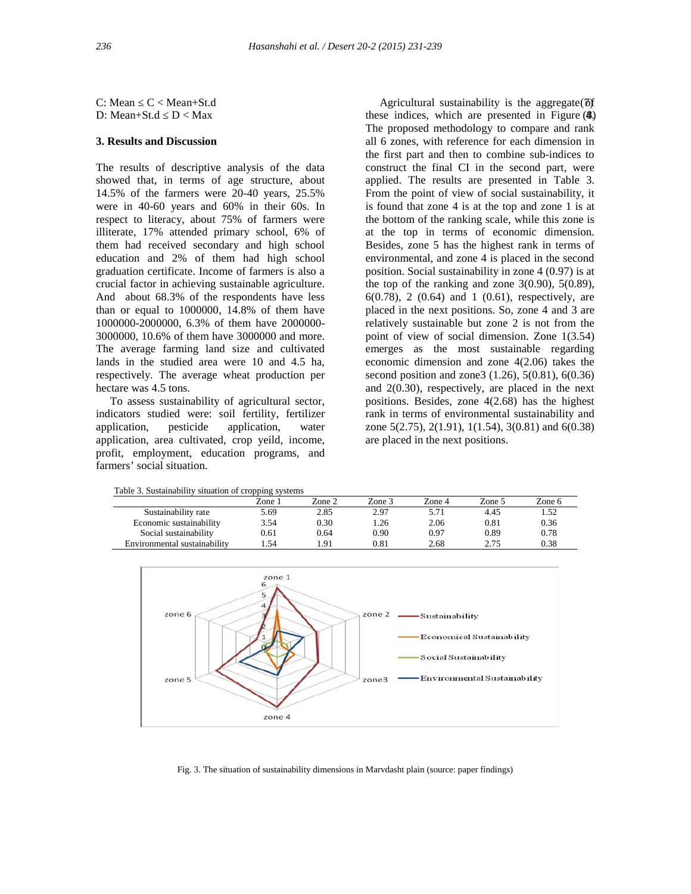C: Mean C < Mean+St.d (7) Agricultural sustainability is the aggregate of C ≤ Mean+St.d D: Mean+St.d  $D <$  Max

# **3. Results and Discussion**

The results of descriptive analysis of the data showed that, in terms of age structure, about 14.5% of the farmers were 20-40 years, 25.5% were in 40-60 years and 60% in their 60s. In respect to literacy, about 75% of farmers were illiterate, 17% attended primary school, 6% of them had received secondary and high school education and 2% of them had high school graduation certificate. Income of farmers is also a crucial factor in achieving sustainable agriculture. And about 68.3% of the respondents have less than or equal to 1000000, 14.8% of them have 1000000-2000000, 6.3% of them have 2000000- 3000000, 10.6% of them have 3000000 and more. The average farming land size and cultivated lands in the studied area were 10 and 4.5 ha, respectively. The average wheat production per hectare was 4.5 tons.

To assess sustainability of agricultural sector, indicators studied were: soil fertility, fertilizer application, pesticide application, water application, area cultivated, crop yeild, income, profit, employment, education programs, and farmers' social situation.

Table 3. Sustainability situation of cropping systems

| these indices, which are presented in Figure (4)              |
|---------------------------------------------------------------|
| The proposed methodology to compare and rank                  |
| all 6 zones, with reference for each dimension in             |
| the first part and then to combine sub-indices to             |
| construct the final CI in the second part, were               |
| applied. The results are presented in Table 3.                |
| From the point of view of social sustainability, it           |
| is found that zone 4 is at the top and zone 1 is at           |
| the bottom of the ranking scale, while this zone is           |
| at the top in terms of economic dimension.                    |
| Besides, zone 5 has the highest rank in terms of              |
| environmental, and zone 4 is placed in the second             |
| position. Social sustainability in zone $4(0.97)$ is at       |
| the top of the ranking and zone $3(0.90)$ , $5(0.89)$ ,       |
| $6(0.78)$ , 2 $(0.64)$ and 1 $(0.61)$ , respectively, are     |
| placed in the next positions. So, zone 4 and 3 are            |
| relatively sustainable but zone 2 is not from the             |
| point of view of social dimension. Zone 1(3.54)               |
| emerges as the most sustainable regarding                     |
| economic dimension and zone $4(2.06)$ takes the               |
| second position and zone 3 $(1.26)$ , 5 $(0.81)$ , 6 $(0.36)$ |
| and $2(0.30)$ , respectively, are placed in the next          |
| positions. Besides, zone $4(2.68)$ has the highest            |
| rank in terms of environmental sustainability and             |
| zone 5(2.75), 2(1.91), 1(1.54), 3(0.81) and 6(0.38)           |
| are placed in the next positions.                             |

|                              | Zone 1 | Zone 2 | Zone 3 | Zone 4 | Zone 5 | Zone 6 |
|------------------------------|--------|--------|--------|--------|--------|--------|
| Sustainability rate          | 5.69   | 2.85   | 2.97   | 5.71   | 4.45   | 1.52   |
| Economic sustainability      | 3.54   | 0.30   | . 26   | 2.06   | 0.81   | 0.36   |
| Social sustainability        | 0.61   | 0.64   | 0.90   | 0.97   | 0.89   | 0.78   |
| Environmental sustainability | . 54   | .91    | 0.81   | 2.68   | 2.75   | 0.38   |



Fig. 3. The situation of sustainability dimensions in Marvdasht plain (source: paper findings)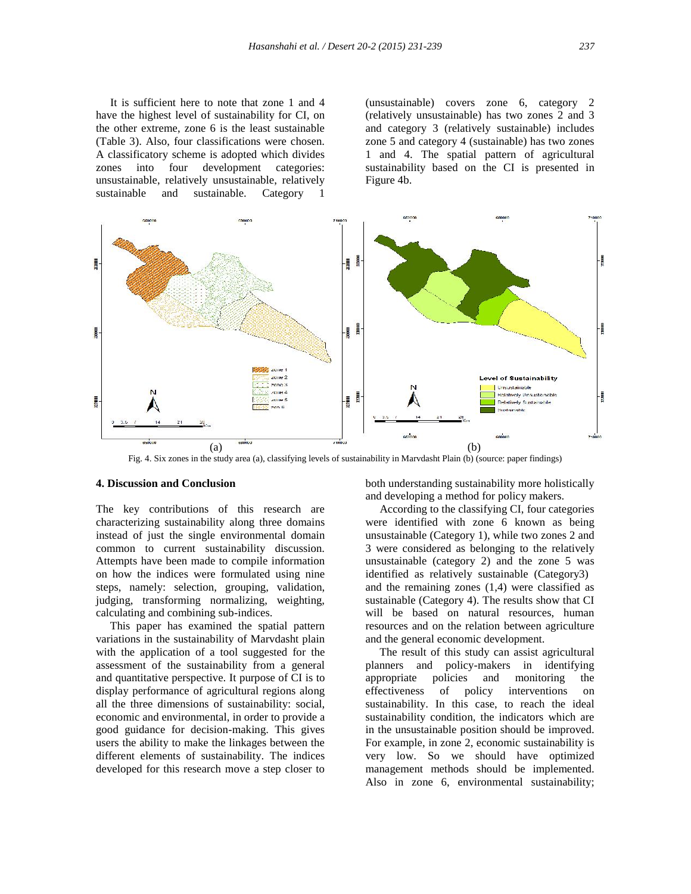It is sufficient here to note that zone 1 and 4 have the highest level of sustainability for CI, on the other extreme, zone 6 is the least sustainable (Table 3). Also, four classifications were chosen. A classificatory scheme is adopted which divides zones into four development categories: unsustainable, relatively unsustainable, relatively sustainable and sustainable. Category 1

(unsustainable) covers zone 6, category 2 (relatively unsustainable) has two zones 2 and 3 and category 3 (relatively sustainable) includes zone 5 and category 4 (sustainable) has two zones 1 and 4. The spatial pattern of agricultural sustainability based on the CI is presented in Figure 4b.



Fig. 4. Six zones in the study area (a), classifying levels of sustainability in Marvdasht Plain (b) (source: paper findings)

## **4. Discussion and Conclusion**

The key contributions of this research are characterizing sustainability along three domains instead of just the single environmental domain common to current sustainability discussion. Attempts have been made to compile information on how the indices were formulated using nine steps, namely: selection, grouping, validation, judging, transforming normalizing, weighting, calculating and combining sub-indices.

This paper has examined the spatial pattern variations in the sustainability of Marvdasht plain with the application of a tool suggested for the assessment of the sustainability from a general and quantitative perspective. It purpose of CI is to display performance of agricultural regions along all the three dimensions of sustainability: social, economic and environmental, in order to provide a good guidance for decision-making. This gives users the ability to make the linkages between the different elements of sustainability. The indices developed for this research move a step closer to

both understanding sustainability more holistically and developing a method for policy makers.

According to the classifying CI, four categories were identified with zone 6 known as being unsustainable (Category 1), while two zones 2 and 3 were considered as belonging to the relatively unsustainable (category 2) and the zone 5 was identified as relatively sustainable (Category3) and the remaining zones (1,4) were classified as sustainable (Category 4). The results show that CI will be based on natural resources, human resources and on the relation between agriculture and the general economic development.

The result of this study can assist agricultural planners and policy-makers in identifying appropriate policies and monitoring the of policy interventions on sustainability. In this case, to reach the ideal sustainability condition, the indicators which are in the unsustainable position should be improved. For example, in zone 2, economic sustainability is very low. So we should have optimized management methods should be implemented. Also in zone 6, environmental sustainability;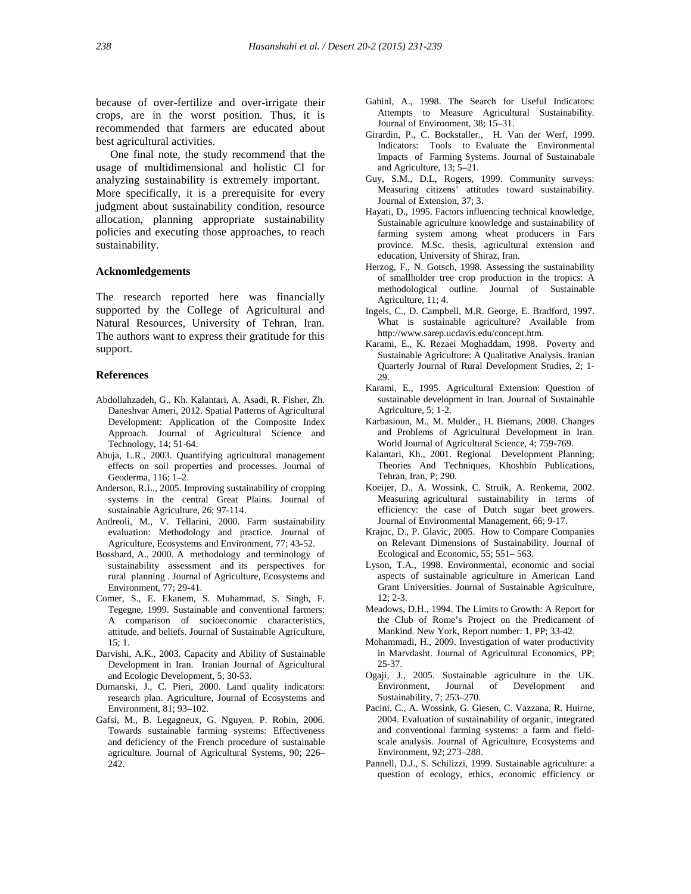because of over-fertilize and over-irrigate their crops, are in the worst position. Thus, it is recommended that farmers are educated about best agricultural activities.

One final note, the study recommend that the usage of multidimensional and holistic CI for analyzing sustainability is extremely important. More specifically, it is a prerequisite for every judgment about sustainability condition, resource allocation, planning appropriate sustainability policies and executing those approaches, to reach sustainability.

#### **Acknomledgements**

The research reported here was financially supported by the College of Agricultural and Natural Resources, University of Tehran, Iran. The authors want to express their gratitude for this support.

#### **References**

- Abdollahzadeh, G., Kh. Kalantari, A. Asadi, R. Fisher, Zh. Daneshvar Ameri, 2012. Spatial Patterns of Agricultural Development: Application of the Composite Index Approach. Journal of Agricultural Science and Technology, 14; 51-64.
- Ahuja, L.R., 2003. Quantifying agricultural management effects on soil properties and processes. Journal of Geoderma, 116; 1–2.
- Anderson, R.L., 2005. Improving sustainability of cropping systems in the central Great Plains. Journal of sustainable Agriculture, 26; 97-114.
- Andreoli, M., V. Tellarini, 2000. Farm sustainability evaluation: Methodology and practice. Journal of Agriculture, Ecosystems and Environment, 77; 43-52.
- Bosshard, A., 2000. A methodology and terminology of sustainability assessment and its perspectives for rural planning . Journal of Agriculture, Ecosystems and Environment, 77; 29-41.
- Comer, S., E. Ekanem, S. Muhammad, S. Singh, F. Tegegne, 1999. Sustainable and conventional farmers: A comparison of socioeconomic characteristics, attitude, and beliefs. Journal of Sustainable Agriculture, 15; 1.
- Darvishi, A.K., 2003. Capacity and Ability of Sustainable Development in Iran. Iranian Journal of Agricultural and Ecologic Development, 5; 30-53.
- Dumanski, J., C. Pieri, 2000. Land quality indicators: research plan. Agriculture, Journal of Ecosystems and Environment, 81; 93–102.
- Gafsi, M., B. Legagneux, G. Nguyen, P. Robin, 2006. Towards sustainable farming systems: Effectiveness and deficiency of the French procedure of sustainable agriculture. Journal of Agricultural Systems, 90; 226– 242.
- Gahinl, A., 1998. The Search for Useful Indicators: Attempts to Measure Agricultural Sustainability. Journal of Environment, 38; 15–31.
- Girardin, P., C. Bockstaller., H. Van der Werf, 1999. Indicators: Tools to Evaluate the Environmental Impacts of Farming Systems. Journal of Sustainabale and Agriculture, 13; 5–21.
- Guy, S.M., D.L, Rogers, 1999. Community surveys: Measuring citizens' attitudes toward sustainability. Journal of Extension, 37; 3.
- Hayati, D., 1995. Factors influencing technical knowledge, Sustainable agriculture knowledge and sustainability of farming system among wheat producers in Fars province. M.Sc. thesis, agricultural extension and education, University of Shiraz, Iran.
- Herzog, F., N. Gotsch, 1998. Assessing the sustainability of smallholder tree crop production in the tropics: A methodological outline. Journal of Sustainable Agriculture, 11; 4.
- Ingels, C., D. Campbell, M.R. George, E. Bradford, 1997. What is sustainable agriculture? Available from http://www.sarep.ucdavis.edu/concept.htm.
- Karami, E., K. Rezaei Moghaddam, 1998. Poverty and Sustainable Agriculture: A Qualitative Analysis. Iranian Quarterly Journal of Rural Development Studies, 2; 1- 29.
- Karami, E., 1995. Agricultural Extension: Question of sustainable development in Iran. Journal of Sustainable Agriculture, 5; 1-2.
- Karbasioun, M., M. Mulder., H. Biemans, 2008. Changes and Problems of Agricultural Development in Iran. World Journal of Agricultural Science, 4; 759-769.
- Kalantari, Kh., 2001. Regional Development Planning; Theories And Techniques, Khoshbin Publications, Tehran, Iran, P; 290.
- Koeijer, D., A. Wossink, C. Struik, A. Renkema, 2002. Measuring agricultural sustainability in terms of efficiency: the case of Dutch sugar beet growers. Journal of Environmental Management, 66; 9-17.
- Krajnc, D., P. Glavic, 2005. How to Compare Companies on Relevant Dimensions of Sustainability. Journal of Ecological and Economic, 55; 551– 563.
- Lyson, T.A., 1998. Environmental, economic and social aspects of sustainable agriculture in American Land Grant Universities. Journal of Sustainable Agriculture, 12; 2-3.
- Meadows, D.H., 1994. The Limits to Growth: A Report for the Club of Rome's Project on the Predicament of Mankind. New York, Report number: 1, PP; 33-42.
- Mohammadi, H., 2009. Investigation of water productivity in Marvdasht. Journal of Agricultural Economics, PP; 25-37.
- Ogaji, J., 2005. Sustainable agriculture in the UK. Environment, Journal of Development and Sustainability, 7; 253–270.
- Pacini, C., A. Wossink, G. Giesen, C. Vazzana, R. Huirne, 2004. Evaluation of sustainability of organic, integrated and conventional farming systems: a farm and field scale analysis. Journal of Agriculture, Ecosystems and Environment, 92; 273–288.
- Pannell, D.J., S. Schilizzi, 1999. Sustainable agriculture: a question of ecology, ethics, economic efficiency or